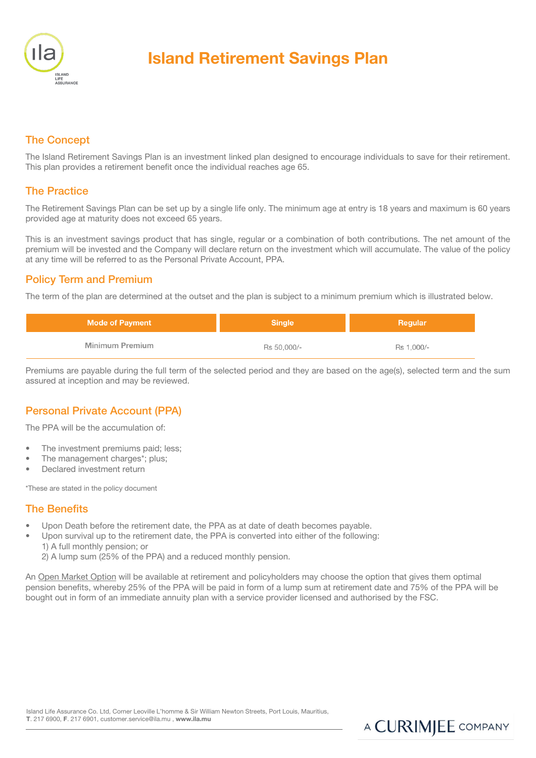

# Island Retirement Savings Plan

# The Concept

The Island Retirement Savings Plan is an investment linked plan designed to encourage individuals to save for their retirement. This plan provides a retirement benefit once the individual reaches age 65.

#### The Practice

The Retirement Savings Plan can be set up by a single life only. The minimum age at entry is 18 years and maximum is 60 years provided age at maturity does not exceed 65 years.

This is an investment savings product that has single, regular or a combination of both contributions. The net amount of the premium will be invested and the Company will declare return on the investment which will accumulate. The value of the policy at any time will be referred to as the Personal Private Account, PPA.

#### Policy Term and Premium

The term of the plan are determined at the outset and the plan is subject to a minimum premium which is illustrated below.

| <b>Mode of Payment</b> | <b>Single</b> | Regular    |
|------------------------|---------------|------------|
| Minimum Premium        | Rs 50,000/-   | Rs 1.000/- |

Premiums are payable during the full term of the selected period and they are based on the age(s), selected term and the sum assured at inception and may be reviewed.

# Personal Private Account (PPA)

The PPA will be the accumulation of:

- The investment premiums paid; less;
- The management charges\*; plus;
- Declared investment return

\*These are stated in the policy document

#### The Benefits

- Upon Death before the retirement date, the PPA as at date of death becomes payable.
- Upon survival up to the retirement date, the PPA is converted into either of the following: 1) A full monthly pension; or
	- 2) A lump sum (25% of the PPA) and a reduced monthly pension.

An Open Market Option will be available at retirement and policyholders may choose the option that gives them optimal pension benefits, whereby 25% of the PPA will be paid in form of a lump sum at retirement date and 75% of the PPA will be bought out in form of an immediate annuity plan with a service provider licensed and authorised by the FSC.

A CURIMJEE COMPANY